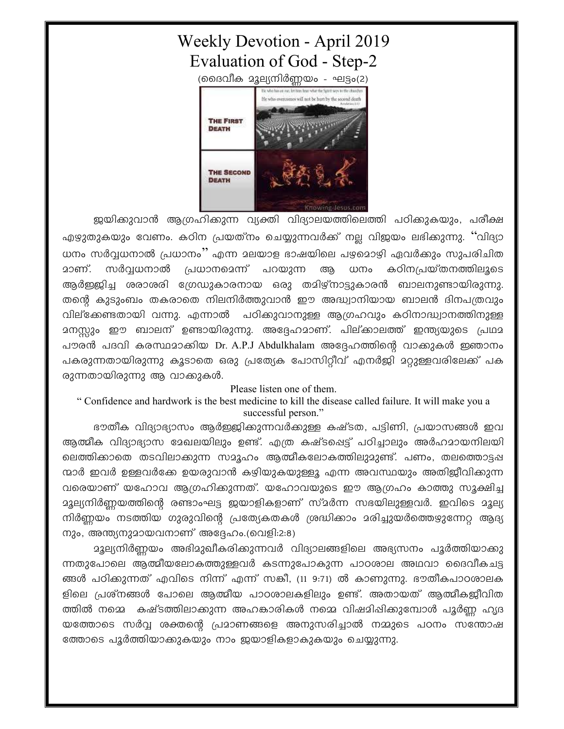## **Weekly Devotion - April 2019** Evaluation of God - Step-2 (ദൈവീക മൂല്യനിർണ്ണയം - ഘട്ടം(2)



ജയിക്കുവാൻ ആഗ്രഹിക്കുന്ന വ്യക്തി വിദ്യാലയത്തിലെത്തി പഠിക്കുകയും, പരീക്ഷ എഴുതുകയും വേണം. കഠിന പ്രയത്നം ചെയ്യുന്നവർക്ക് നല്ല വിജയം ലഭിക്കുന്നു. ''വിദ്യാ ധനം സർവ്വധനാൽ പ്രധാനം'' എന്ന മലയാള ഭാഷയിലെ പഴ്ചമൊഴി ഏവർക്കും സുപരിചിത <u>മാണ്. സർവ്വധനാൽ പ്രധാനമെന്ന് പറയുന്ന</u> ആ ധനം കഠിനപ്രയ്തനത്തിലൂടെ ആർഇജിച്ച ശരാശരി ഗ്രേഡുകാരനായ ഒരു തമിഴ്നാട്ടുകാരൻ ബാലനുണ്ടായിരുന്നു. തന്റെ കുടുംബം തകരാതെ നിലനിർത്തുവാൻ ഈ അദ്ധ്വാനിയായ ബാലൻ ദിനപത്രവും വില്ക്കേണ്ടതായി വന്നു. എന്നാൽ പഠിക്കുവാനുള്ള ആഗ്രഹവും കഠിനാദ്ധ്വാനത്തിനുള്ള മനസ്സും ഈ ബാലന് ഉണ്ടായിരുന്നു. അദ്ദേഹമാണ്. പില്ക്കാലത്ത് ഇന്ത്യയുടെ പ്രഥമ പൗരൻ പദവി കരസ്ഥമാക്കിയ Dr. A.P.J Abdulkhalam അദ്ദേഹത്തിന്റെ വാക്കുകൾ ഇഞാനം പകരുന്നതായിരുന്നു കൂടാതെ ഒരു പ്രത്യേക പോസിറ്റീവ് എനർജി മറ്റുള്ളവരിലേക്ക് പക രുന്നതായിരുന്നു ആ വാക്കുകൾ.

## Please listen one of them.

" Confidence and hardwork is the best medicine to kill the disease called failure. It will make you a successful person."

ഭൗതീക വിദ്യാഭ്യാസം ആർഇജിക്കുന്നവർക്കുള്ള കഷ്ടത, പട്ടിണി, പ്രയാസങ്ങൾ ഇവ ആത്മീക വിദ്യാഭ്യാസ മേഖലയിലും ഉണ്ട്. എത്ര കഷ്ടപ്പെട്ട് പഠിച്ചാലും അർഹമായനിലയി ലെത്തിക്കാതെ തടവിലാക്കുന്ന സമൂഹം ആത്മീകലോകത്തിലുമുണ്ട്. പണം, തലത്തൊട്ടഷ ന്മാർ ഇവർ ഉള്ളവർക്കേ ഉയരുവാൻ കഴിയുകയുള്ളൂ എന്ന അവസ്ഥയും അതിജീവിക്കുന്ന വരെയാണ് യഹോവ ആഗ്രഹിക്കുന്നത്. യഹോവയുടെ ഈ ആഗ്രഹം കാത്തു സൂക്ഷിച്ച മൂല്യനിർണ്ണയത്തിന്റെ രണ്ടാംഘട്ട ഇയാളികളാണ് സ്മർന്ന സഭയിലുള്ളവർ. ഇവിടെ മൂല്യ നിർണ്ണയം നടത്തിയ ഗുരുവിന്റെ പ്രത്യേകതകൾ ശ്രദ്ധിക്കാം മരിച്ചുയർത്തെഴുന്നേറ്റ ആദ്യ നും, അന്ത്യനുമായവനാണ് അദ്ദേഹം.(വെളി:2:8)

മൂല്യനിർണ്ണയം അഭിമുഖീകരിക്കുന്നവർ വിദ്യാലങ്ങളിലെ അഭ്യസനം പൂർത്തിയാക്കു ന്നതുപോലെ ആത്മീയലോകത്തുള്ളവർ കടന്നുപോകുന്ന പാഠശാല അഥവാ ദൈവീകചട്ട ങ്ങൾ പഠിക്കുന്നത് എവിടെ നിന്ന് എന്ന് സങ്കീ, (11 9:71) ൽ കാണുന്നു. ഭൗതീകപാഠശാലക ളിലെ പ്രശ്നങ്ങൾ പോലെ ആത്മീയ പാഠശാലകളിലും ഉണ്ട്. അതായത് ആത്മീകള്ളീവിത ത്തിൽ നമ്മെ കഷ്ടത്തിലാക്കുന്ന അഹങ്കാരികൾ നമ്മെ വിഷമിഷിക്കുമ്പോൾ പൂർണ്ണ ഹൃദ യത്തോടെ സർവ്വ ശക്തന്റെ പ്രമാണങ്ങളെ അനുസരിച്ചാൽ നമ്മുടെ പഠനം സന്തോഷ ത്തോടെ പൂർത്തിയാക്കുകയും നാം ഇയാളികളാകുകയും ചെയ്യുന്നു.